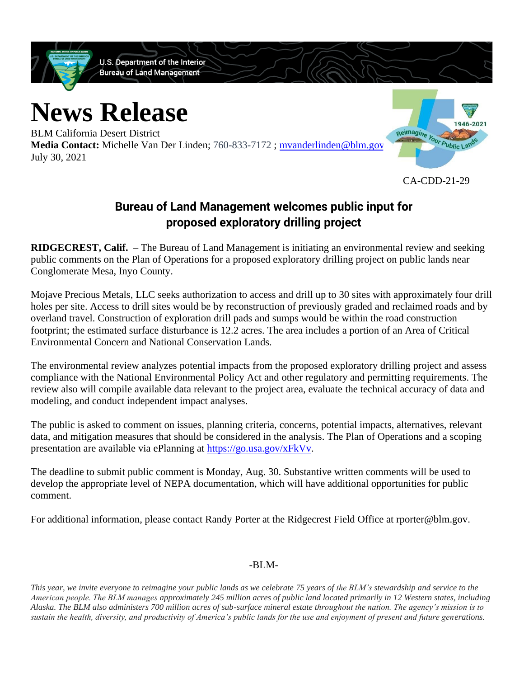

## **Bureau of Land Management welcomes public input for proposed exploratory drilling project**

**RIDGECREST, Calif.** – The Bureau of Land Management is initiating an environmental review and seeking public comments on the Plan of Operations for a proposed exploratory drilling project on public lands near Conglomerate Mesa, Inyo County.

Mojave Precious Metals, LLC seeks authorization to access and drill up to 30 sites with approximately four drill holes per site. Access to drill sites would be by reconstruction of previously graded and reclaimed roads and by overland travel. Construction of exploration drill pads and sumps would be within the road construction footprint; the estimated surface disturbance is 12.2 acres. The area includes a portion of an Area of Critical Environmental Concern and National Conservation Lands.

The environmental review analyzes potential impacts from the proposed exploratory drilling project and assess compliance with the National Environmental Policy Act and other regulatory and permitting requirements. The review also will compile available data relevant to the project area, evaluate the technical accuracy of data and modeling, and conduct independent impact analyses.

The public is asked to comment on issues, planning criteria, concerns, potential impacts, alternatives, relevant data, and mitigation measures that should be considered in the analysis. The Plan of Operations and a scoping presentation are available via ePlanning at [https://go.usa.gov/xFkVv.](https://gcc02.safelinks.protection.outlook.com/?url=https%3A%2F%2Fgo.usa.gov%2FxFkVv&data=04%7C01%7Cswebster%40blm.gov%7C7a9ca7bbe72a4b009e5f08d95390bd89%7C0693b5ba4b184d7b9341f32f400a5494%7C0%7C0%7C637632703377260935%7CUnknown%7CTWFpbGZsb3d8eyJWIjoiMC4wLjAwMDAiLCJQIjoiV2luMzIiLCJBTiI6Ik1haWwiLCJXVCI6Mn0%3D%7C1000&sdata=TcMtS1jhuvyH6ncQCAXOR4k%2F0M6%2BC9MlzG20J1wZxvM%3D&reserved=0)

The deadline to submit public comment is Monday, Aug. 30. Substantive written comments will be used to develop the appropriate level of NEPA documentation, which will have additional opportunities for public comment.

For additional information, please contact Randy Porter at the Ridgecrest Field Office at rporter@blm.gov.

-BLM-

*This year, we invite everyone to reimagine your public lands as we celebrate 75 years of the BLM's stewardship and service to the American people. The BLM manages approximately 245 million acres of public land located primarily in 12 Western states, including Alaska. The BLM also administers 700 million acres of sub-surface mineral estate throughout the nation. The agency's mission is to sustain the health, diversity, and productivity of America's public lands for the use and enjoyment of present and future generations.*